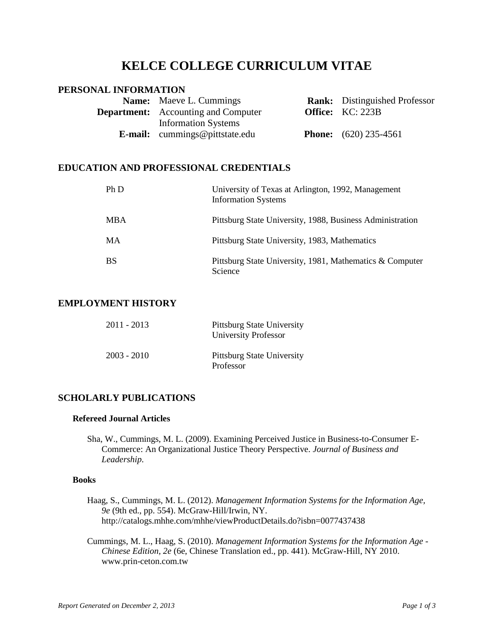# **KELCE COLLEGE CURRICULUM VITAE**

# **PERSONAL INFORMATION**

| <b>Name:</b> Maeve L. Cummings             | <b>Rank:</b> Distinguished Professor |
|--------------------------------------------|--------------------------------------|
| <b>Department:</b> Accounting and Computer | <b>Office:</b> KC: 223B              |
| <b>Information Systems</b>                 |                                      |
| <b>E-mail:</b> cummings@pittstate.edu      | <b>Phone:</b> $(620)$ 235-4561       |

# **EDUCATION AND PROFESSIONAL CREDENTIALS**

| Ph D       | University of Texas at Arlington, 1992, Management<br><b>Information Systems</b> |
|------------|----------------------------------------------------------------------------------|
| <b>MBA</b> | Pittsburg State University, 1988, Business Administration                        |
| <b>MA</b>  | Pittsburg State University, 1983, Mathematics                                    |
| <b>BS</b>  | Pittsburg State University, 1981, Mathematics & Computer<br>Science              |

# **EMPLOYMENT HISTORY**

| $2011 - 2013$ | Pittsburg State University<br>University Professor |
|---------------|----------------------------------------------------|
| $2003 - 2010$ | Pittsburg State University<br>Professor            |

# **SCHOLARLY PUBLICATIONS**

## **Refereed Journal Articles**

Sha, W., Cummings, M. L. (2009). Examining Perceived Justice in Business-to-Consumer E-Commerce: An Organizational Justice Theory Perspective. *Journal of Business and Leadership*.

### **Books**

- Haag, S., Cummings, M. L. (2012). *Management Information Systems for the Information Age, 9e* (9th ed., pp. 554). McGraw-Hill/Irwin, NY. http://catalogs.mhhe.com/mhhe/viewProductDetails.do?isbn=0077437438
- Cummings, M. L., Haag, S. (2010). *Management Information Systems for the Information Age - Chinese Edition, 2e* (6e, Chinese Translation ed., pp. 441). McGraw-Hill, NY 2010. www.prin-ceton.com.tw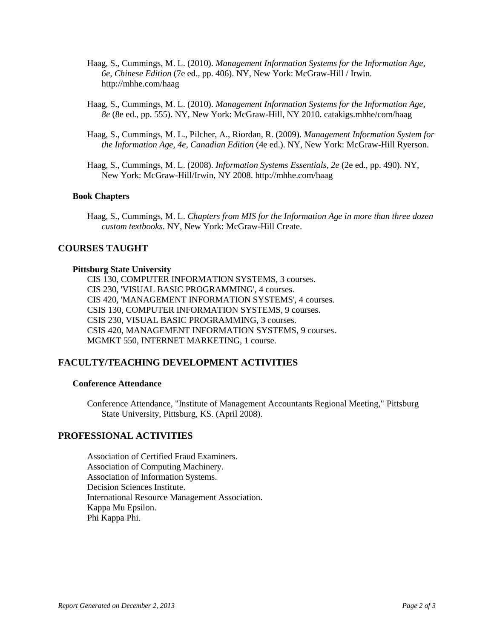- Haag, S., Cummings, M. L. (2010). *Management Information Systems for the Information Age, 6e, Chinese Edition* (7e ed., pp. 406). NY, New York: McGraw-Hill / Irwin. http://mhhe.com/haag
- Haag, S., Cummings, M. L. (2010). *Management Information Systems for the Information Age, 8e* (8e ed., pp. 555). NY, New York: McGraw-Hill, NY 2010. catakigs.mhhe/com/haag
- Haag, S., Cummings, M. L., Pilcher, A., Riordan, R. (2009). *Management Information System for the Information Age, 4e, Canadian Edition* (4e ed.). NY, New York: McGraw-Hill Ryerson.
- Haag, S., Cummings, M. L. (2008). *Information Systems Essentials, 2e* (2e ed., pp. 490). NY, New York: McGraw-Hill/Irwin, NY 2008. http://mhhe.com/haag

#### **Book Chapters**

Haag, S., Cummings, M. L. *Chapters from MIS for the Information Age in more than three dozen custom textbooks*. NY, New York: McGraw-Hill Create.

# **COURSES TAUGHT**

#### **Pittsburg State University**

CIS 130, COMPUTER INFORMATION SYSTEMS, 3 courses. CIS 230, 'VISUAL BASIC PROGRAMMING', 4 courses. CIS 420, 'MANAGEMENT INFORMATION SYSTEMS', 4 courses. CSIS 130, COMPUTER INFORMATION SYSTEMS, 9 courses. CSIS 230, VISUAL BASIC PROGRAMMING, 3 courses. CSIS 420, MANAGEMENT INFORMATION SYSTEMS, 9 courses. MGMKT 550, INTERNET MARKETING, 1 course.

## **FACULTY/TEACHING DEVELOPMENT ACTIVITIES**

#### **Conference Attendance**

Conference Attendance, "Institute of Management Accountants Regional Meeting," Pittsburg State University, Pittsburg, KS. (April 2008).

# **PROFESSIONAL ACTIVITIES**

Association of Certified Fraud Examiners. Association of Computing Machinery. Association of Information Systems. Decision Sciences Institute. International Resource Management Association. Kappa Mu Epsilon. Phi Kappa Phi.